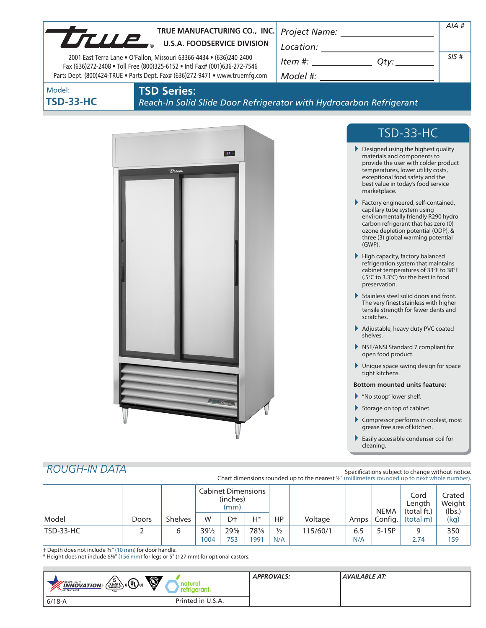|                            | TRUE MANUFACTURING CO., INC.<br>U.S.A. FOODSERVICE DIVISION                                                                                                                                                                       | Project Name: ______________________                                                                                                                                                                                                     | $AIA$ # |
|----------------------------|-----------------------------------------------------------------------------------------------------------------------------------------------------------------------------------------------------------------------------------|------------------------------------------------------------------------------------------------------------------------------------------------------------------------------------------------------------------------------------------|---------|
|                            | 2001 East Terra Lane . O'Fallon, Missouri 63366-4434 . (636)240-2400<br>Fax (636)272-2408 . Toll Free (800)325-6152 . Intl Fax# (001)636-272-7546<br>Parts Dept. (800)424-TRUE . Parts Dept. Fax# (636)272-9471 . www.truemfg.com | $\begin{array}{c}\n\text{Location:}\n\\ \hline\n\text{Item } \#: \begin{array}{c}\n\hline\n\end{array} Q \text{ty:}\n\end{array}$                                                                                                        | SIS#    |
| Model:<br><b>TSD-33-HC</b> | <b>TSD Series:</b><br>Reach-In Solid Slide Door Refrigerator with Hydrocarbon Refrigerant                                                                                                                                         |                                                                                                                                                                                                                                          |         |
|                            |                                                                                                                                                                                                                                   | TSD-33-HC                                                                                                                                                                                                                                |         |
|                            | $37 -$<br>true                                                                                                                                                                                                                    | Designed using the highest quality<br>materials and components to<br>provide the user with colder product<br>temperatures, lower utility costs,<br>exceptional food safety and the<br>best value in today's food service<br>marketplace. |         |
|                            |                                                                                                                                                                                                                                   | Factory engineered, self-contained,<br>capillary tube system using<br>environmentally friendly R290 hydro<br>carbon refrigerant that has zero (0)<br>ozone depletion potential (ODP), &<br>three (3) global warming potential<br>(GWP).  |         |
|                            |                                                                                                                                                                                                                                   | High capacity, factory balanced<br>refrigeration system that maintains<br>cabinet temperatures of 33°F to 38°F<br>(.5°C to 3.3°C) for the best in food<br>preservation.                                                                  |         |
|                            |                                                                                                                                                                                                                                   | Stainless steel solid doors and front.<br>The very finest stainless with higher<br>tensile strength for fewer dents and<br>scratches.                                                                                                    |         |
|                            |                                                                                                                                                                                                                                   | Adjustable, heavy duty PVC coated<br>shelves.                                                                                                                                                                                            |         |
|                            |                                                                                                                                                                                                                                   | NSF/ANSI Standard 7 compliant for<br>open food product.                                                                                                                                                                                  |         |
|                            |                                                                                                                                                                                                                                   | Unique space saving design for space<br>tight kitchens.                                                                                                                                                                                  |         |
|                            |                                                                                                                                                                                                                                   | <b>Bottom mounted units feature:</b>                                                                                                                                                                                                     |         |
|                            |                                                                                                                                                                                                                                   | Mo stoop" lower shelf.                                                                                                                                                                                                                   |         |
|                            |                                                                                                                                                                                                                                   | Storage on top of cabinet.                                                                                                                                                                                                               |         |
|                            |                                                                                                                                                                                                                                   | Compressor performs in coolest, most<br>grease free area of kitchen.                                                                                                                                                                     |         |
|                            |                                                                                                                                                                                                                                   | Easily accessible condenser coil for<br>cleaning.                                                                                                                                                                                        |         |

# *ROUGH-IN DATA*

Specifications subject to change without notice. Chart dimensions rounded up to the nearest <sup>1</sup>/8" (millimeters rounded up to next whole number).

|                  |       |                | <b>Cabinet Dimensions</b><br>(inches)<br>(mm) |                |      |               | <b>NEMA</b> | Cord<br>Length<br>(total ft.) | Crated<br>Weight<br>(lbs.) |                                   |      |
|------------------|-------|----------------|-----------------------------------------------|----------------|------|---------------|-------------|-------------------------------|----------------------------|-----------------------------------|------|
| Model            | Doors | <b>Shelves</b> | W                                             | D <sup>+</sup> | Н*   | НP            | Voltage     | Amps                          |                            | $\vert$ Config. $\vert$ (total m) | (kg) |
| <b>TSD-33-HC</b> |       | ь              | $39\frac{1}{2}$                               | 29%            | 78%  | $\frac{1}{2}$ | 115/60/1    | 6.5                           | $5-15P$                    | q                                 | 350  |
|                  |       |                | 1004                                          | 753            | 1991 | N/A           |             | N/A                           |                            | 2.74                              | 159  |

† Depth does not include 3/8" (10 mm) for door handle.

\* Height does not include 61/8" (156 mm) for legs or 5" (127 mm) for optional castors.

| Ö<br>$\sqrt{\frac{5}{2}}$ $\epsilon$ (U) us<br><b>MADE WITH_</b><br><b>INNOVATION</b><br><b>M</b> THE USA<br><b>USA</b> | reranı.           | <b>APPROVALS:</b> | <b>AVAILABLE AT:</b> |
|-------------------------------------------------------------------------------------------------------------------------|-------------------|-------------------|----------------------|
| $6/18-A$                                                                                                                | Printed in U.S.A. |                   |                      |